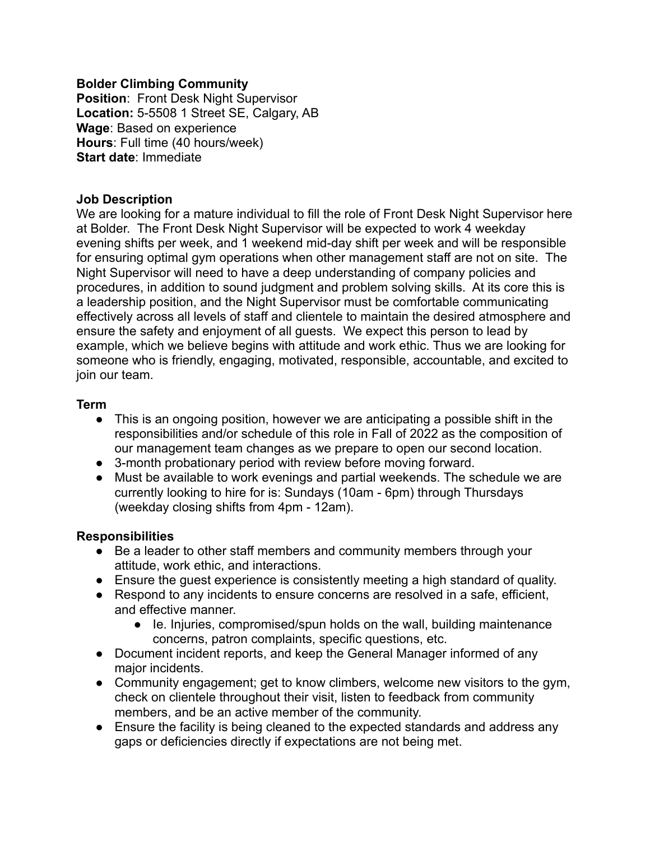### **Bolder Climbing Community**

**Position**: Front Desk Night Supervisor **Location:** 5-5508 1 Street SE, Calgary, AB **Wage**: Based on experience **Hours**: Full time (40 hours/week) **Start date**: Immediate

### **Job Description**

We are looking for a mature individual to fill the role of Front Desk Night Supervisor here at Bolder. The Front Desk Night Supervisor will be expected to work 4 weekday evening shifts per week, and 1 weekend mid-day shift per week and will be responsible for ensuring optimal gym operations when other management staff are not on site. The Night Supervisor will need to have a deep understanding of company policies and procedures, in addition to sound judgment and problem solving skills. At its core this is a leadership position, and the Night Supervisor must be comfortable communicating effectively across all levels of staff and clientele to maintain the desired atmosphere and ensure the safety and enjoyment of all guests. We expect this person to lead by example, which we believe begins with attitude and work ethic. Thus we are looking for someone who is friendly, engaging, motivated, responsible, accountable, and excited to join our team.

#### **Term**

- This is an ongoing position, however we are anticipating a possible shift in the responsibilities and/or schedule of this role in Fall of 2022 as the composition of our management team changes as we prepare to open our second location.
- 3-month probationary period with review before moving forward.
- Must be available to work evenings and partial weekends. The schedule we are currently looking to hire for is: Sundays (10am - 6pm) through Thursdays (weekday closing shifts from 4pm - 12am).

## **Responsibilities**

- Be a leader to other staff members and community members through your attitude, work ethic, and interactions.
- Ensure the guest experience is consistently meeting a high standard of quality.
- Respond to any incidents to ensure concerns are resolved in a safe, efficient, and effective manner.
	- Ie. Injuries, compromised/spun holds on the wall, building maintenance concerns, patron complaints, specific questions, etc.
- Document incident reports, and keep the General Manager informed of any major incidents.
- Community engagement; get to know climbers, welcome new visitors to the gym, check on clientele throughout their visit, listen to feedback from community members, and be an active member of the community.
- Ensure the facility is being cleaned to the expected standards and address any gaps or deficiencies directly if expectations are not being met.